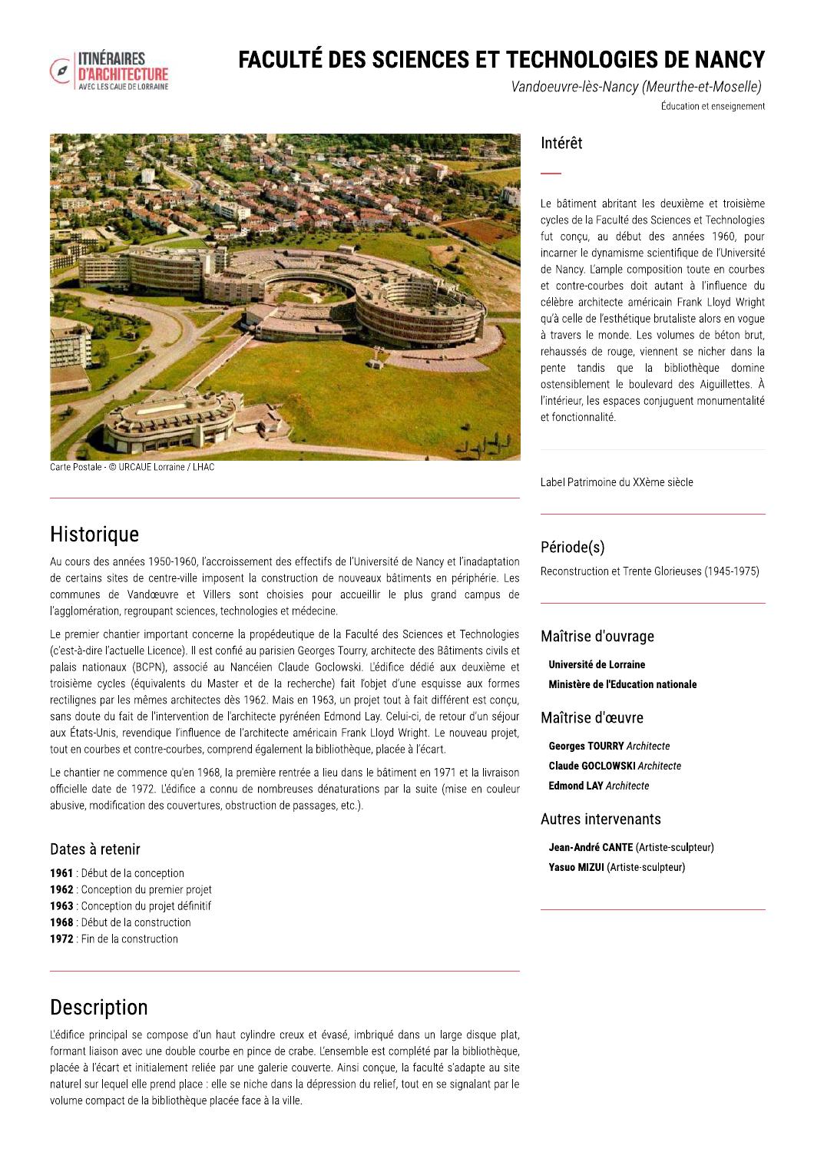

# **FACULTÉ DES SCIENCES ET TECHNOLOGIES DE NANCY**

Vandoeuvre-lès-Nancy (Meurthe-et-Moselle) Éducation et enseignement



Carte Postale - © URCAUE Lorraine / LHAC

#### Intérêt

Le bâtiment abritant les deuxième et troisième cycles de la Faculté des Sciences et Technologies fut conçu, au début des années 1960, pour incarner le dynamisme scientifique de l'Université de Nancy. L'ample composition toute en courbes et contre-courbes doit autant à l'influence du célèbre architecte américain Frank Lloyd Wright qu'à celle de l'esthétique brutaliste alors en voque à travers le monde. Les volumes de béton brut. rehaussés de rouge, viennent se nicher dans la pente tandis que la bibliothèque domine ostensiblement le boulevard des Aiquillettes. À l'intérieur, les espaces conjuguent monumentalité et fonctionnalité.

Label Patrimoine du XXème siècle

## Historique

Au cours des années 1950-1960, l'accroissement des effectifs de l'Université de Nancy et l'inadaptation de certains sites de centre-ville imposent la construction de nouveaux bâtiments en périphérie. Les communes de Vandœuvre et Villers sont choisies pour accueillir le plus grand campus de l'agglomération, regroupant sciences, technologies et médecine.

Le premier chantier important concerne la propédeutique de la Faculté des Sciences et Technologies (c'est-à-dire l'actuelle Licence). Il est confié au parisien Georges Tourry, architecte des Bâtiments civils et palais nationaux (BCPN), associé au Nancéien Claude Goclowski. L'édifice dédié aux deuxième et troisième cycles (équivalents du Master et de la recherche) fait l'objet d'une esquisse aux formes rectilignes par les mêmes architectes dès 1962. Mais en 1963, un projet tout à fait différent est concu, sans doute du fait de l'intervention de l'architecte pyrénéen Edmond Lay. Celui-ci, de retour d'un séjour aux États-Unis, revendique l'influence de l'architecte américain Frank Lloyd Wright. Le nouveau projet, tout en courbes et contre-courbes, comprend également la bibliothèque, placée à l'écart.

Le chantier ne commence qu'en 1968, la première rentrée a lieu dans le bâtiment en 1971 et la livraison officielle date de 1972. L'édifice a connu de nombreuses dénaturations par la suite (mise en couleur abusive, modification des couvertures, obstruction de passages, etc.).

### Dates à retenir

- 1961 : Début de la conception
- 1962 : Conception du premier projet
- 1963 : Conception du projet définitif
- 1968 : Début de la construction
- 1972 : Fin de la construction

#### Période(s)

Reconstruction et Trente Glorieuses (1945-1975)

#### Maîtrise d'ouvrage

Université de Lorraine Ministère de l'Education nationale

#### Maîtrise d'œuvre

**Georges TOURRY Architecte Claude GOCLOWSKI Architecte Edmond LAY Architecte** 

#### Autres intervenants

Jean-André CANTE (Artiste-sculpteur) Yasuo MIZUI (Artiste-sculpteur)

# Description

L'édifice principal se compose d'un haut cylindre creux et évasé, imbriqué dans un large disque plat, formant liaison avec une double courbe en pince de crabe. L'ensemble est complété par la bibliothèque, placée à l'écart et initialement reliée par une galerie couverte. Ainsi conçue, la faculté s'adapte au site naturel sur lequel elle prend place : elle se niche dans la dépression du relief, tout en se signalant par le volume compact de la bibliothèque placée face à la ville.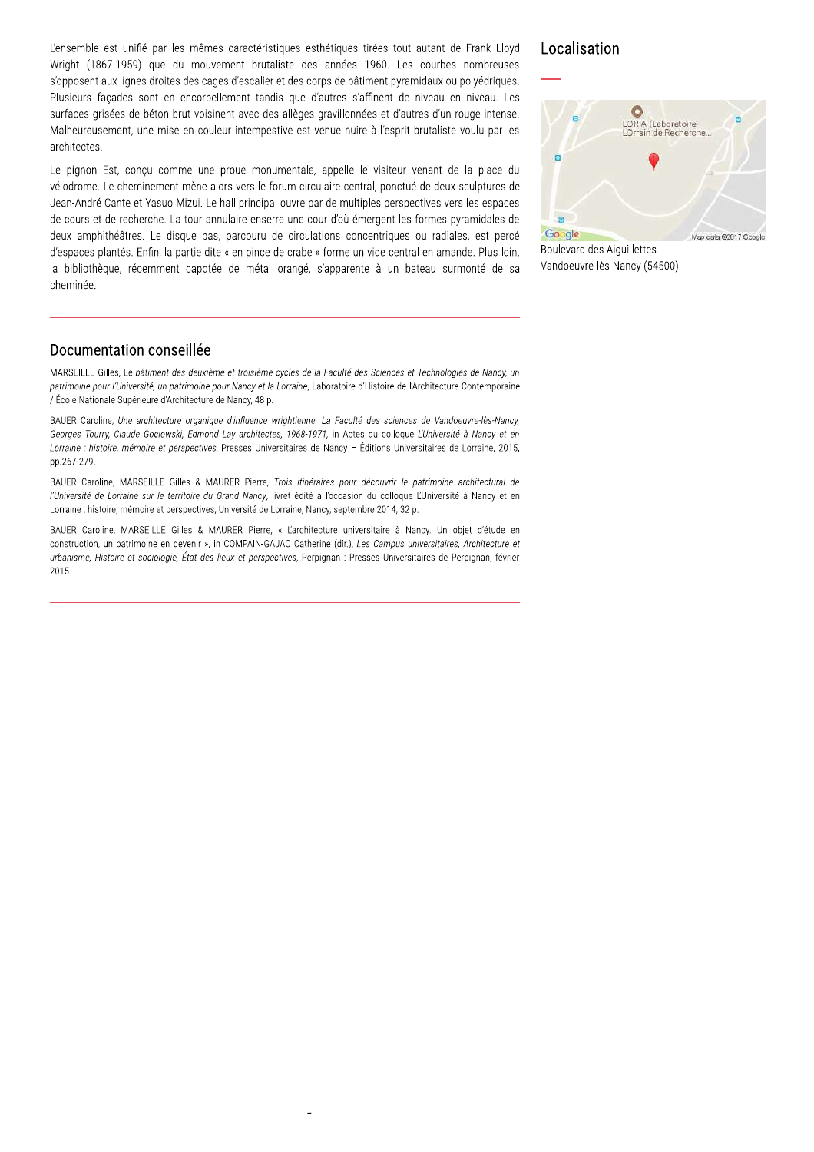Lensemble est unifie par les memes característiques estrietiques tirees tout autant de Frank Lloyd wright (1867-1959) que du mouvement prutaliste des années 1960. Les courbes nombreuses stiques esthétiques tirées tout autant de Frank L<br>
aliste des années 1960. Les courbes nombreu<br>
r et des corps de bâtiment pyramidaux ou polyédrique<br>
dis que d'autres s'affinent de niveau en niveau.<br>
sa allèges gravillonné s opposent aux lignes droites des cages d'escaller et des corps de batiment pyramidaux ou polyedriques. Put autant de Frank Lloyd<br>
Localisation<br>
es courbes nombreuses<br>
ramidaux ou polyédriques.<br>
de niveau en niveau. Les<br>
autres d'un rouge intense.<br>
rit brutaliste voulu par les<br>
prince de la place du<br>
trué de deux sculptures Plusieurs façades sont en encorpellement tandis que d'autres s'affinent de niveau en niveau. Les Solonier de Frank Lloyd<br>
1990 Localisatio<br>
1990 Les courbes nombreuses<br>
ent de niveau en niveau. Les<br>
et d'autres d'un rouge intense.<br>
l'esprit brutaliste voulu par les<br>
l'esprit brutaliste voulu par les<br>
sitieur venant de  $\frac{1}{2}$  surfaces general of the constraint avec des alleges gravillonnees et d'autres d'un rouge intense. out autant de Frank Lloyd<br>
Localisation<br>
des courbes nombreuses<br>
de niveau en niveau. Les<br>
autres d'un rouge intense.<br>
rit brutaliste voulu par les<br>
ur venant de la place du<br>
sur venant de la place du<br>
spectives vers les e Maineureusement, une mise en couleur intempestive est venue nuire à l'esprit prutaliste voulu par les architectes. L'ensemble est unifié par les mêmes<br>
Wright (1867-1959) que du mouv<br>
s'opposent aux lignes droites des cag<br>
Plusieurs façades sont en encorbe<br>
surfaces grisées de béton brut voisi<br>
Malheureusement, une mise en coul<br>
archit

pignon Est, conçu comme une proue monumentale, appelle le visiteur venant de la place du velodrome. Le cheminement mene alors vers le forum circulaire central, ponctue de deux sculptures de s'opposent aux lignes droites des ca<br>Plusieurs façades sont en encorbe<br>surfaces grisées de béton brut vois<br>Malheureusement, une mise en cou<br>architectes.<br>Le pignon Est, conçu comme une<br>vélodrome. Le cheminement mène a<br>Jean-Jean-Andre Cante et Yasuo Mizui. Le naii principai ouvre par de multiples perspectives vers les espaces rs façades sont en encorbellement tandis que d<br>
s grisées de béton brut voisinent avec des allèges<br>
reusement, une mise en couleur intempestive est v<br>
ttes.<br>
non Est, conçu comme une proue monumentale,<br>
me. Le cheminement de cours et de recherche. La tour annuiaire enserre une cour d'où emergent les formes pyramidales de surfaces grisées de béton brut voisinent avec des<br>Malheureusement, une mise en couleur intempest<br>architectes.<br>Le pignon Est, conçu comme une proue monur<br>vélodrome. Le cheminement mène alors vers le for<br>Jean-André Cante et deux amphitheatres. Le disque bas, parcouru de circulations concentriques ou radiales, est perce Malheureusement, une mise en couleur intem<br>
architectes.<br>
Le pignon Est, conçu comme une proue m<br>
vélodrome. Le cheminement mène alors vers<br>
Jean-André Cante et Yasuo Mizui. Le hall princ<br>
de cours et de recherche. La tour d'espaces plantes. Enfin, la partie dité « en pince de crabe » forme un vide central en amande. Plus loin, architectes.<br>
Le pignon Est, conçu comme une proue<br>
vélodrome. Le cheminement mène alors ve<br>
Jean-André Cante et Yasuo Mizui. Le hall pr<br>
de cours et de recherche. La tour annulaire<br>
deux amphithéâtres. Le disque bas, parc le visiteur venant de la place du<br>
tand, ponctué de deux sculptures de<br>
tiples perspectives vers les espaces<br>
emergent les formes pyramidales de<br>
necentriques ou radiales, est percé<br> **Cocole**<br>
no vide central en amande. Pl la bibliotheque, recemment capotee de metal orange, s'apparente à un bateau surmonte de sa cheminee. Le pignon Lot, sonça comme ane<br>
vélodrome. Le cheminement mène al<br>
Jean-André Cante et Yasuo Mizui. Le<br>
de cours et de recherche. La tour ann<br>
deux amphithéâtres. Le disque bas<br>
d'espaces plantés. Enfin, la partie dite<br>
la

#### Localisation



Boulevard des Alguillettes vandoeuvre-les-Nancy (54500)

s, Le batiment des deuxieme et troisieme cycles de la Faculte des Sciences et Technologies de Nancy, un patrimoine pour i universite, un patrimoine pour Nancy et la Lorraine, Laboratoire d'Histoire de l'Architecture Contemporaine / Ecole Nationale Superieure d'Architecture de l'

**Documentation conseillée**<br>
MARSEILLE Gilles, Le bâtiment des deuxième et troisième cycles de la Faculté des<br>
patrimoine pour l'Université, un patrimoine pour Nancy et la Lorraine, Laboratoire d'H<br>
/ École Nationale Supéri BAUER Caroline, Une architecture organique d'influence wrightienne. La Faculté des sciences de Vandoeuvre-lès-Nancy, Georges Tourry, Claude Goclowski, Edmond Lay architectes, 1968-1971, in Actes du colloque Luniversite a Nancy et en Lorraine : histoire, memoire et perspectives, Presses Universitaires de Nancy – Editions Universitaires de Lorraine, MARSEILLE Gilles, Le bâtiment des deuxième et troisième cycles de la Faculté des Sciences et Technologies de Nancy, un<br>patrimoine pour l'Université, un patrimoine pour Nancy et la Lorraine, Laboratoire d'Histoire de l'Arch BAUER Caroline, Une architecture organique d'influence wrightienne. La Faculté des sciences de Vandoeuvre-lès-Nancy Georges Tourry, Claude Goclowski, Edmond Lay architectes, 1968-1971, in Actes du colloque L'Université à N

, MARSEILLE GIIIes & MAURER PIerre, *Trois Itineraires pour decouvrir le patrimoine architectural de* i universite de Lorraine sur le territoire du Grand Nancy, livret edite à l'occasion du colloque Luniversite à Nancy et en Lorraine : histoire, memoire et perspectives, Université de Lorraine, Nancy, septembre 2

, MARSEILLE GIIIes & MAURER PIerre, « Larchitecture universitaire a Nancy. Un objet d'étude en In Actes du conoque *Lonversité à Nancy et en*<br>ancy – Éditions Universitaires de Lorraine, 2015,<br>s pour découvrir le patrimoine architectural de<br>occasion du colloque L'Université à Nancy et en<br>septembre 2014, 32 p.<br>re univ construction, un patrimoine en devenir », in COMPAIN-GAJAC Catherine ( EDEAS THE CONSIDELT CONDUCT THE CONSIDERATION OF DEAST CONDITIONS ON CONDITIONS ON THE CONSIDER CONDITIONS OF DAMAGER Pierre, Trois itinéraires pour découvrir le patrimoine architectural de BAURR Caroline, MARSELLE Gilles rpignan : Presses Universitaires de Perpignan, fevrier BAUER Caroline, MARSEILLE Gilles & MAURER Pierre, *Trois itinéraires pour découvrir le patrimoine architectural de l'Université de Lorraine sur le territoire du Grand Nancy, livret édité à l'occasion du colloque L'Universi*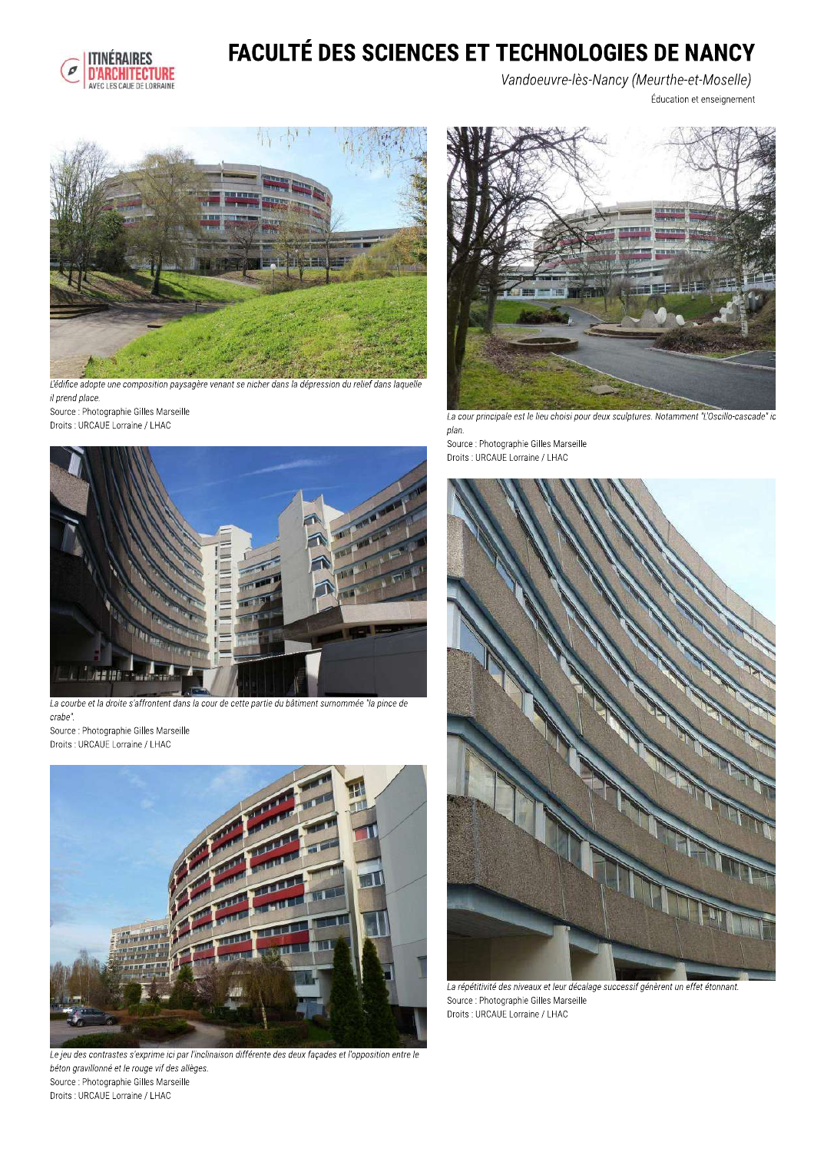

# **FACULTÉ DES SCIENCES ET TECHNOLOGIES DE NANCY**

Vandoeuvre-lès-Nancy (Meurthe-et-Moselle) Éducation et enseignement



L'édifice adopte une composition paysagère venant se nicher dans la dépression du relief dans laquelle il prend place.

Source : Photographie Gilles Marseille Droits : URCAUE Lorraine / LHAC



La cour principale est le lieu choisi pour deux sculptures. Notamment "L'Oscillo-cascade" ic plan.

Source : Photographie Gilles Marseille Droits : URCAUE Lorraine / LHAC



La répétitivité des niveaux et leur décalage successif génèrent un effet étonnant. Source : Photographie Gilles Marseille Droits : URCAUE Lorraine / LHAC



La courbe et la droite s'affrontent dans la cour de cette partie du bâtiment surnommée "la pince de crabe".

Source : Photographie Gilles Marseille Droits : URCAUE Lorraine / LHAC



Le jeu des contrastes s'exprime ici par l'inclinaison différente des deux façades et l'opposition entre le béton gravillonné et le rouge vif des allèges. Source : Photographie Gilles Marseille Droits : URCAUE Lorraine / LHAC